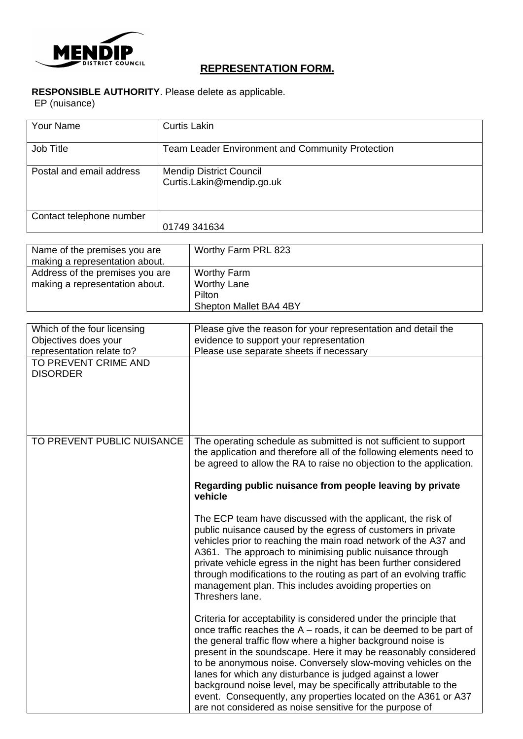

## **REPRESENTATION FORM.**

## **RESPONSIBLE AUTHORITY**. Please delete as applicable.

EP (nuisance)

| Your Name                | <b>Curtis Lakin</b>                                     |
|--------------------------|---------------------------------------------------------|
|                          |                                                         |
| Job Title                | <b>Team Leader Environment and Community Protection</b> |
| Postal and email address | <b>Mendip District Council</b>                          |
|                          | Curtis.Lakin@mendip.go.uk                               |
|                          |                                                         |
|                          |                                                         |
| Contact telephone number |                                                         |
|                          | 01749 341634                                            |

| Name of the premises you are<br>making a representation about.    | Worthy Farm PRL 823                                                          |
|-------------------------------------------------------------------|------------------------------------------------------------------------------|
| Address of the premises you are<br>making a representation about. | <b>Worthy Farm</b><br><b>Worthy Lane</b><br>Pilton<br>Shepton Mallet BA4 4BY |

| Which of the four licensing<br>Objectives does your<br>representation relate to? | Please give the reason for your representation and detail the<br>evidence to support your representation<br>Please use separate sheets if necessary                                                                                                                                                                                                                                                                                                                                                                                                                                                        |
|----------------------------------------------------------------------------------|------------------------------------------------------------------------------------------------------------------------------------------------------------------------------------------------------------------------------------------------------------------------------------------------------------------------------------------------------------------------------------------------------------------------------------------------------------------------------------------------------------------------------------------------------------------------------------------------------------|
| TO PREVENT CRIME AND<br><b>DISORDER</b>                                          |                                                                                                                                                                                                                                                                                                                                                                                                                                                                                                                                                                                                            |
| TO PREVENT PUBLIC NUISANCE                                                       | The operating schedule as submitted is not sufficient to support<br>the application and therefore all of the following elements need to<br>be agreed to allow the RA to raise no objection to the application.                                                                                                                                                                                                                                                                                                                                                                                             |
|                                                                                  | Regarding public nuisance from people leaving by private<br>vehicle                                                                                                                                                                                                                                                                                                                                                                                                                                                                                                                                        |
|                                                                                  | The ECP team have discussed with the applicant, the risk of<br>public nuisance caused by the egress of customers in private<br>vehicles prior to reaching the main road network of the A37 and<br>A361. The approach to minimising public nuisance through<br>private vehicle egress in the night has been further considered<br>through modifications to the routing as part of an evolving traffic<br>management plan. This includes avoiding properties on<br>Threshers lane.                                                                                                                           |
|                                                                                  | Criteria for acceptability is considered under the principle that<br>once traffic reaches the $A -$ roads, it can be deemed to be part of<br>the general traffic flow where a higher background noise is<br>present in the soundscape. Here it may be reasonably considered<br>to be anonymous noise. Conversely slow-moving vehicles on the<br>lanes for which any disturbance is judged against a lower<br>background noise level, may be specifically attributable to the<br>event. Consequently, any properties located on the A361 or A37<br>are not considered as noise sensitive for the purpose of |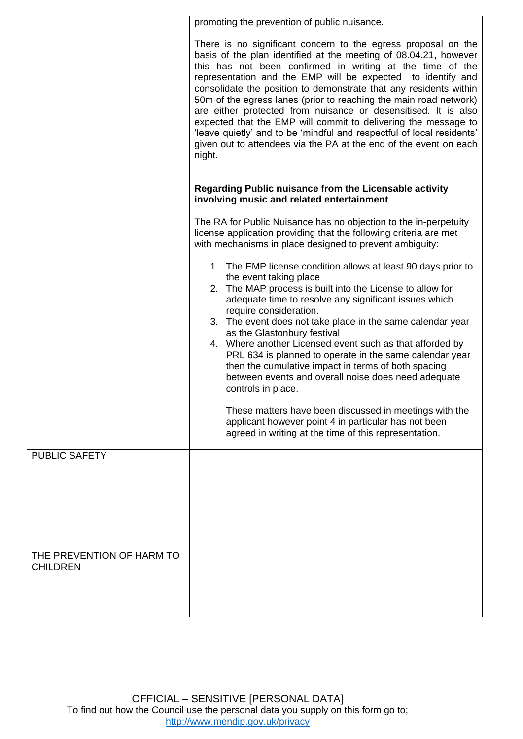|                                              | promoting the prevention of public nuisance.                                                                                                                                                                                                                                                                                                                                                                                                                                                                                                                                                                                                                                                        |  |  |
|----------------------------------------------|-----------------------------------------------------------------------------------------------------------------------------------------------------------------------------------------------------------------------------------------------------------------------------------------------------------------------------------------------------------------------------------------------------------------------------------------------------------------------------------------------------------------------------------------------------------------------------------------------------------------------------------------------------------------------------------------------------|--|--|
|                                              | There is no significant concern to the egress proposal on the<br>basis of the plan identified at the meeting of 08.04.21, however<br>this has not been confirmed in writing at the time of the<br>representation and the EMP will be expected to identify and<br>consolidate the position to demonstrate that any residents within<br>50m of the egress lanes (prior to reaching the main road network)<br>are either protected from nuisance or desensitised. It is also<br>expected that the EMP will commit to delivering the message to<br>'leave quietly' and to be 'mindful and respectful of local residents'<br>given out to attendees via the PA at the end of the event on each<br>night. |  |  |
|                                              | Regarding Public nuisance from the Licensable activity<br>involving music and related entertainment                                                                                                                                                                                                                                                                                                                                                                                                                                                                                                                                                                                                 |  |  |
|                                              | The RA for Public Nuisance has no objection to the in-perpetuity<br>license application providing that the following criteria are met<br>with mechanisms in place designed to prevent ambiguity:                                                                                                                                                                                                                                                                                                                                                                                                                                                                                                    |  |  |
|                                              | 1. The EMP license condition allows at least 90 days prior to<br>the event taking place<br>2. The MAP process is built into the License to allow for<br>adequate time to resolve any significant issues which<br>require consideration.<br>3. The event does not take place in the same calendar year<br>as the Glastonbury festival<br>4. Where another Licensed event such as that afforded by<br>PRL 634 is planned to operate in the same calendar year<br>then the cumulative impact in terms of both spacing                                                                                                                                                                                  |  |  |
|                                              | between events and overall noise does need adequate<br>controls in place.                                                                                                                                                                                                                                                                                                                                                                                                                                                                                                                                                                                                                           |  |  |
|                                              | These matters have been discussed in meetings with the<br>applicant however point 4 in particular has not been<br>agreed in writing at the time of this representation.                                                                                                                                                                                                                                                                                                                                                                                                                                                                                                                             |  |  |
| <b>PUBLIC SAFETY</b>                         |                                                                                                                                                                                                                                                                                                                                                                                                                                                                                                                                                                                                                                                                                                     |  |  |
|                                              |                                                                                                                                                                                                                                                                                                                                                                                                                                                                                                                                                                                                                                                                                                     |  |  |
| THE PREVENTION OF HARM TO<br><b>CHILDREN</b> |                                                                                                                                                                                                                                                                                                                                                                                                                                                                                                                                                                                                                                                                                                     |  |  |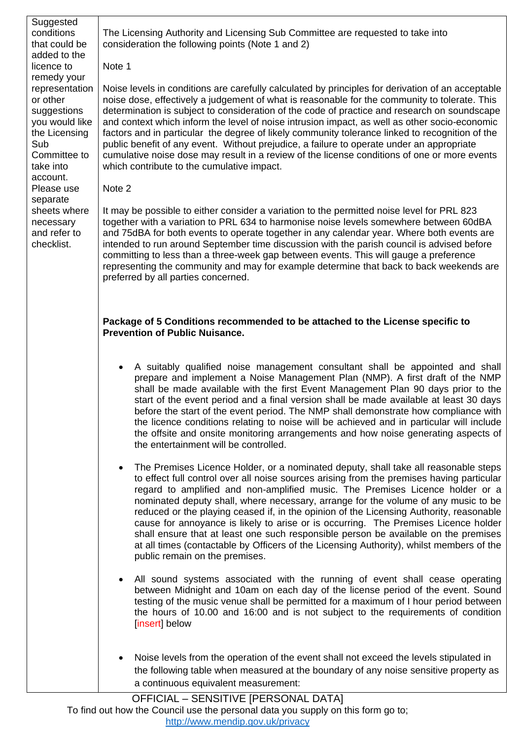| Suggested<br>conditions<br>that could be<br>added to the                                                                                                                                                                                       | The Licensing Authority and Licensing Sub Committee are requested to take into<br>consideration the following points (Note 1 and 2)                                                                                                                                                                                                                                                                                                                                                                                                                                                                                                                                                                                                                                                                                                                                                                                                                                                                                                                                                                                                                                                                                                               |  |
|------------------------------------------------------------------------------------------------------------------------------------------------------------------------------------------------------------------------------------------------|---------------------------------------------------------------------------------------------------------------------------------------------------------------------------------------------------------------------------------------------------------------------------------------------------------------------------------------------------------------------------------------------------------------------------------------------------------------------------------------------------------------------------------------------------------------------------------------------------------------------------------------------------------------------------------------------------------------------------------------------------------------------------------------------------------------------------------------------------------------------------------------------------------------------------------------------------------------------------------------------------------------------------------------------------------------------------------------------------------------------------------------------------------------------------------------------------------------------------------------------------|--|
| licence to<br>remedy your<br>representation<br>or other<br>suggestions<br>you would like<br>the Licensing<br>Sub<br>Committee to<br>take into<br>account.<br>Please use<br>separate<br>sheets where<br>necessary<br>and refer to<br>checklist. | Note 1<br>Noise levels in conditions are carefully calculated by principles for derivation of an acceptable<br>noise dose, effectively a judgement of what is reasonable for the community to tolerate. This<br>determination is subject to consideration of the code of practice and research on soundscape<br>and context which inform the level of noise intrusion impact, as well as other socio-economic<br>factors and in particular the degree of likely community tolerance linked to recognition of the<br>public benefit of any event. Without prejudice, a failure to operate under an appropriate<br>cumulative noise dose may result in a review of the license conditions of one or more events<br>which contribute to the cumulative impact.<br>Note 2<br>It may be possible to either consider a variation to the permitted noise level for PRL 823<br>together with a variation to PRL 634 to harmonise noise levels somewhere between 60dBA<br>and 75dBA for both events to operate together in any calendar year. Where both events are<br>intended to run around September time discussion with the parish council is advised before<br>committing to less than a three-week gap between events. This will gauge a preference |  |
|                                                                                                                                                                                                                                                | representing the community and may for example determine that back to back weekends are<br>preferred by all parties concerned.<br>Package of 5 Conditions recommended to be attached to the License specific to<br><b>Prevention of Public Nuisance.</b>                                                                                                                                                                                                                                                                                                                                                                                                                                                                                                                                                                                                                                                                                                                                                                                                                                                                                                                                                                                          |  |
|                                                                                                                                                                                                                                                | A suitably qualified noise management consultant shall be appointed and shall<br>$\bullet$<br>prepare and implement a Noise Management Plan (NMP). A first draft of the NMP<br>shall be made available with the first Event Management Plan 90 days prior to the<br>start of the event period and a final version shall be made available at least 30 days<br>before the start of the event period. The NMP shall demonstrate how compliance with<br>the licence conditions relating to noise will be achieved and in particular will include<br>the offsite and onsite monitoring arrangements and how noise generating aspects of<br>the entertainment will be controlled.                                                                                                                                                                                                                                                                                                                                                                                                                                                                                                                                                                      |  |
|                                                                                                                                                                                                                                                | The Premises Licence Holder, or a nominated deputy, shall take all reasonable steps<br>to effect full control over all noise sources arising from the premises having particular<br>regard to amplified and non-amplified music. The Premises Licence holder or a<br>nominated deputy shall, where necessary, arrange for the volume of any music to be<br>reduced or the playing ceased if, in the opinion of the Licensing Authority, reasonable<br>cause for annoyance is likely to arise or is occurring. The Premises Licence holder<br>shall ensure that at least one such responsible person be available on the premises<br>at all times (contactable by Officers of the Licensing Authority), whilst members of the<br>public remain on the premises.                                                                                                                                                                                                                                                                                                                                                                                                                                                                                    |  |
|                                                                                                                                                                                                                                                | All sound systems associated with the running of event shall cease operating<br>between Midnight and 10am on each day of the license period of the event. Sound<br>testing of the music venue shall be permitted for a maximum of I hour period between<br>the hours of 10.00 and 16:00 and is not subject to the requirements of condition<br>[insert] below                                                                                                                                                                                                                                                                                                                                                                                                                                                                                                                                                                                                                                                                                                                                                                                                                                                                                     |  |
|                                                                                                                                                                                                                                                | Noise levels from the operation of the event shall not exceed the levels stipulated in<br>the following table when measured at the boundary of any noise sensitive property as<br>a continuous equivalent measurement:<br>OFFICIAL - SENSITIVE [PERSONAL DATA]                                                                                                                                                                                                                                                                                                                                                                                                                                                                                                                                                                                                                                                                                                                                                                                                                                                                                                                                                                                    |  |